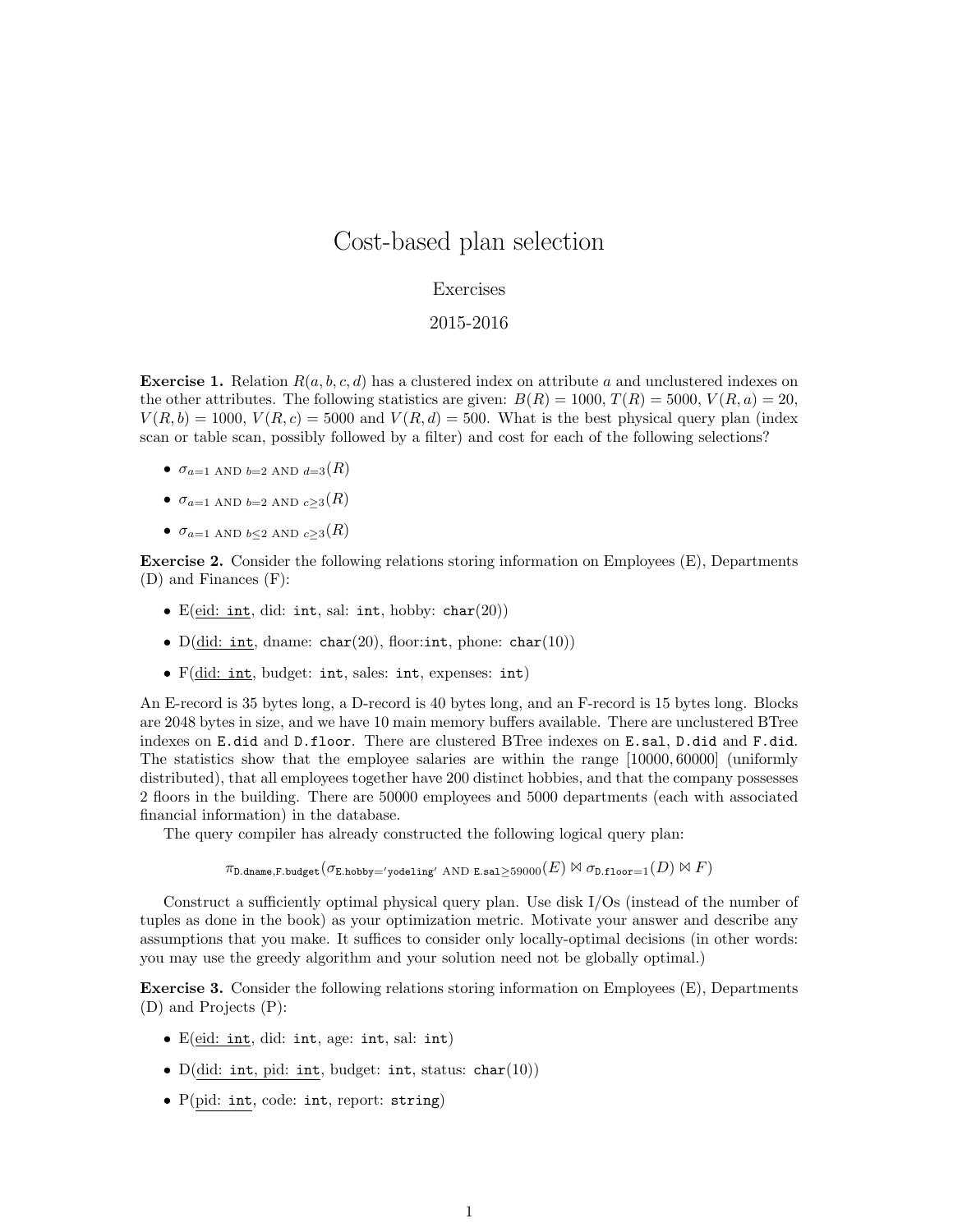## Cost-based plan selection

## Exercises

## 2015-2016

**Exercise 1.** Relation  $R(a, b, c, d)$  has a clustered index on attribute a and unclustered indexes on the other attributes. The following statistics are given:  $B(R) = 1000, T(R) = 5000, V(R, a) = 20$ ,  $V(R, b) = 1000, V(R, c) = 5000$  and  $V(R, d) = 500$ . What is the best physical query plan (index scan or table scan, possibly followed by a filter) and cost for each of the following selections?

- $\sigma_{a=1}$  AND  $_{b=2}$  AND  $_{d=3}(R)$
- $\sigma_{a=1}$  AND  $_{b=2}$  AND  $_{c>3}(R)$
- $\sigma_{a=1}$  and  $_{b\leq2}$  and  $_{c\geq3}(R)$

Exercise 2. Consider the following relations storing information on Employees (E), Departments (D) and Finances (F):

- E(eid: int, did: int, sal: int, hobby: char(20))
- $D(id: int, dname: char(20), floor: int, phone: char(10))$
- F(did: int, budget: int, sales: int, expenses: int)

An E-record is 35 bytes long, a D-record is 40 bytes long, and an F-record is 15 bytes long. Blocks are 2048 bytes in size, and we have 10 main memory buffers available. There are unclustered BTree indexes on E.did and D.floor. There are clustered BTree indexes on E.sal, D.did and F.did. The statistics show that the employee salaries are within the range [10000, 60000] (uniformly distributed), that all employees together have 200 distinct hobbies, and that the company possesses 2 floors in the building. There are 50000 employees and 5000 departments (each with associated financial information) in the database.

The query compiler has already constructed the following logical query plan:

 $\pi_{\texttt{D.dname},\texttt{F.budge}}(\sigma_{\texttt{E.hobby} \to \texttt{yodeling}' \text{ AND E.sal} \geq 59000(E) \bowtie \sigma_{\texttt{D.floor}=1}(D) \bowtie F)$ 

Construct a sufficiently optimal physical query plan. Use disk I/Os (instead of the number of tuples as done in the book) as your optimization metric. Motivate your answer and describe any assumptions that you make. It suffices to consider only locally-optimal decisions (in other words: you may use the greedy algorithm and your solution need not be globally optimal.)

Exercise 3. Consider the following relations storing information on Employees (E), Departments (D) and Projects (P):

- E(eid: int, did: int, age: int, sal: int)
- D(did: int, pid: int, budget: int, status: char(10))
- P(pid: int, code: int, report: string)